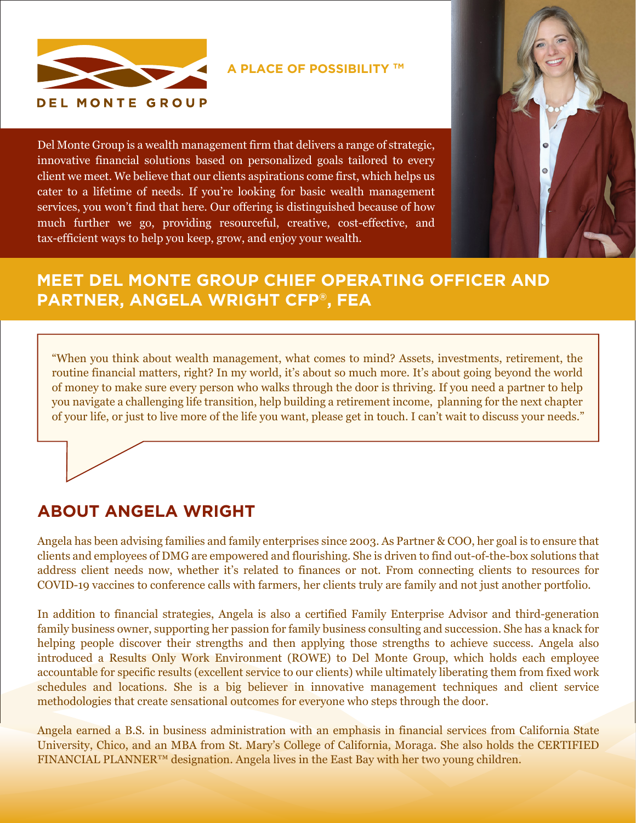

**A PLACE OF POSSIBILITY TM**

Del Monte Group is a wealth management firm that delivers a range of strategic, innovative financial solutions based on personalized goals tailored to every client we meet. We believe that our clients aspirations come first, which helps us cater to a lifetime of needs. If you're looking for basic wealth management services, you won't find that here. Our offering is distinguished because of how much further we go, providing resourceful, creative, cost-effective, and tax-efficient ways to help you keep, grow, and enjoy your wealth.



## **MEET DEL MONTE GROUP CHIEF OPERATING OFFICER AND PARTNER, ANGELA WRIGHT CFP®, FEA**

"When you think about wealth management, what comes to mind? Assets, investments, retirement, the routine financial matters, right? In my world, it's about so much more. It's about going beyond the world of money to make sure every person who walks through the door is thriving. If you need a partner to help you navigate a challenging life transition, help building a retirement income, planning for the next chapter of your life, or just to live more of the life you want, please get in touch. I can't wait to discuss your needs."

## **ABOUT ANGELA WRIGHT**

Angela has been advising families and family enterprises since 2003. As Partner & COO, her goal is to ensure that clients and employees of DMG are empowered and flourishing. She is driven to find out-of-the-box solutions that address client needs now, whether it's related to finances or not. From connecting clients to resources for COVID-19 vaccines to conference calls with farmers, her clients truly are family and not just another portfolio.

In addition to financial strategies, Angela is also a certified Family Enterprise Advisor and third-generation family business owner, supporting her passion for family business consulting and succession. She has a knack for helping people discover their strengths and then applying those strengths to achieve success. Angela also introduced a Results Only Work Environment (ROWE) to Del Monte Group, which holds each employee accountable for specific results (excellent service to our clients) while ultimately liberating them from fixed work schedules and locations. She is a big believer in innovative management techniques and client service methodologies that create sensational outcomes for everyone who steps through the door.

Angela earned a B.S. in business administration with an emphasis in financial services from California State University, Chico, and an MBA from St. Mary's College of California, Moraga. She also holds the CERTIFIED FINANCIAL PLANNER<sup>™</sup> designation. Angela lives in the East Bay with her two young children.